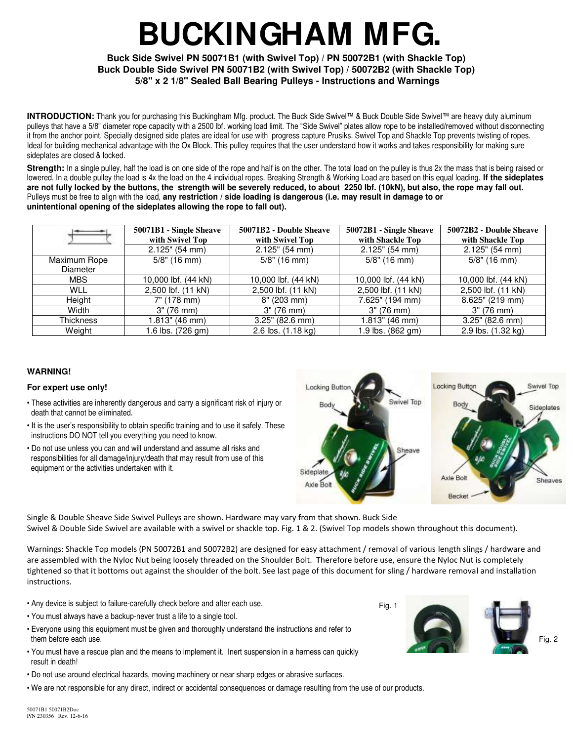# **BUCKINGHAM MFG.**

## **Buck Side Swivel PN 50071B1 (with Swivel Top) / PN 50072B1 (with Shackle Top) Buck Double Side Swivel PN 50071B2 (with Swivel Top) / 50072B2 (with Shackle Top) 5/8" x 2 1/8" Sealed Ball Bearing Pulleys - Instructions and Warnings**

**INTRODUCTION:** Thank you for purchasing this Buckingham Mfg. product. The Buck Side Swivel™ & Buck Double Side Swivel™ are heavy duty aluminum pulleys that have a 5/8" diameter rope capacity with a 2500 lbf. working load limit. The "Side Swivel" plates allow rope to be installed/removed without disconnecting it from the anchor point. Specially designed side plates are ideal for use with progress capture Prusiks. Swivel Top and Shackle Top prevents twisting of ropes. Ideal for building mechanical advantage with the Ox Block. This pulley requires that the user understand how it works and takes responsibility for making sure sideplates are closed & locked.

**Strength:** In a single pulley, half the load is on one side of the rope and half is on the other. The total load on the pulley is thus 2x the mass that is being raised or lowered. In a double pulley the load is 4x the load on the 4 individual ropes. Breaking Strength & Working Load are based on this equal loading. **If the sideplates are not fully locked by the buttons, the strength will be severely reduced, to about 2250 lbf. (10kN), but also, the rope may fall out.** Pulleys must be free to align with the load, **any restriction / side loading is dangerous (i.e. may result in damage to or unintentional opening of the sideplates allowing the rope to fall out).** 

|                  | 50071B1 - Single Sheave | 50071B2 - Double Sheave | 50072B1 - Single Sheave | 50072B2 - Double Sheave |
|------------------|-------------------------|-------------------------|-------------------------|-------------------------|
|                  | with Swivel Top         | with Swivel Top         | with Shackle Top        | with Shackle Top        |
|                  | $2.125$ " (54 mm)       | $2.125$ " (54 mm)       | $2.125"$ (54 mm)        | $2.125"$ (54 mm)        |
| Maximum Rope     | $5/8$ " (16 mm)         | $5/8$ " (16 mm)         | $5/8$ " (16 mm)         | $5/8$ " (16 mm)         |
| <b>Diameter</b>  |                         |                         |                         |                         |
| <b>MBS</b>       | 10,000 lbf. (44 kN)     | 10.000 lbf. (44 kN)     | 10.000 lbf. (44 kN)     | 10,000 lbf. (44 kN)     |
| <b>WLL</b>       | 2,500 lbf. (11 kN)      | 2,500 lbf. (11 kN)      | 2,500 lbf. (11 kN)      | 2,500 lbf. (11 kN)      |
| Height           | 7" (178 mm)             | 8" (203 mm)             | 7.625" (194 mm)         | 8.625" (219 mm)         |
| Width            | 3" (76 mm)              | 3" (76 mm)              | 3" (76 mm)              | 3" (76 mm)              |
| <b>Thickness</b> | 1.813" (46 mm)          | $3.25$ " (82.6 mm)      | 1.813" (46 mm)          | 3.25" (82.6 mm)         |
| Weight           | 1.6 lbs. (726 gm)       | 2.6 lbs. (1.18 kg)      | 1.9 lbs. (862 gm)       | 2.9 lbs. (1.32 kg)      |

#### **WARNING!**

#### **For expert use only!**

- These activities are inherently dangerous and carry a significant risk of injury or death that cannot be eliminated.
- It is the user's responsibility to obtain specific training and to use it safely. These instructions DO NOT tell you everything you need to know.
- Do not use unless you can and will understand and assume all risks and responsibilities for all damage/injury/death that may result from use of this equipment or the activities undertaken with it.



Single & Double Sheave Side Swivel Pulleys are shown. Hardware may vary from that shown. Buck Side Swivel & Double Side Swivel are available with a swivel or shackle top. Fig. 1 & 2. (Swivel Top models shown throughout this document).

Warnings: Shackle Top models (PN 50072B1 and 50072B2) are designed for easy attachment / removal of various length slings / hardware and are assembled with the Nyloc Nut being loosely threaded on the Shoulder Bolt. Therefore before use, ensure the Nyloc Nut is completely tightened so that it bottoms out against the shoulder of the bolt. See last page of this document for sling / hardware removal and installation instructions.

- Any device is subject to failure-carefully check before and after each use.
- You must always have a backup-never trust a life to a single tool.
- Everyone using this equipment must be given and thoroughly understand the instructions and refer to them before each use.
- You must have a rescue plan and the means to implement it. Inert suspension in a harness can quickly result in death!
- Do not use around electrical hazards, moving machinery or near sharp edges or abrasive surfaces.
- We are not responsible for any direct, indirect or accidental consequences or damage resulting from the use of our products.



Fig. 2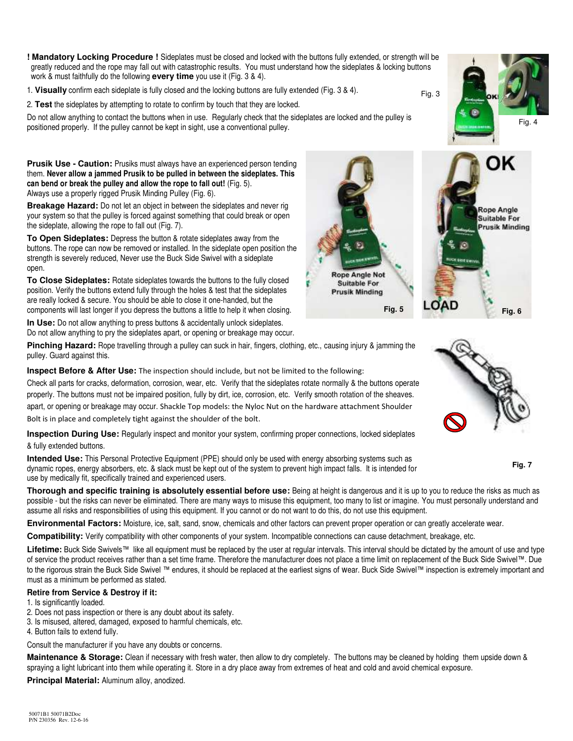**! Mandatory Locking Procedure !** Sideplates must be closed and locked with the buttons fully extended, or strength will be greatly reduced and the rope may fall out with catastrophic results. You must understand how the sideplates & locking buttons work & must faithfully do the following **every time** you use it (Fig. 3 & 4).

1. **Visually** confirm each sideplate is fully closed and the locking buttons are fully extended (Fig. 3 & 4).

2. **Test** the sideplates by attempting to rotate to confirm by touch that they are locked.

Do not allow anything to contact the buttons when in use. Regularly check that the sideplates are locked and the pulley is positioned properly. If the pulley cannot be kept in sight, use a conventional pulley.

**Prusik Use - Caution:** Prusiks must always have an experienced person tending them. **Never allow a jammed Prusik to be pulled in between the sideplates. This can bend or break the pulley and allow the rope to fall out!** (Fig. 5). Always use a properly rigged Prusik Minding Pulley (Fig. 6).

**Breakage Hazard:** Do not let an object in between the sideplates and never rig your system so that the pulley is forced against something that could break or open the sideplate, allowing the rope to fall out (Fig. 7).

**To Open Sideplates:** Depress the button & rotate sideplates away from the buttons. The rope can now be removed or installed. In the sideplate open position the strength is severely reduced, Never use the Buck Side Swivel with a sideplate open.

**To Close Sideplates:** Rotate sideplates towards the buttons to the fully closed position. Verify the buttons extend fully through the holes & test that the sideplates are really locked & secure. You should be able to close it one-handed, but the components will last longer if you depress the buttons a little to help it when closing.

**In Use:** Do not allow anything to press buttons & accidentally unlock sideplates. Do not allow anything to pry the sideplates apart, or opening or breakage may occur.

**Pinching Hazard:** Rope travelling through a pulley can suck in hair, fingers, clothing, etc., causing injury & jamming the pulley. Guard against this.

**Inspect Before & After Use:** The inspection should include, but not be limited to the following:

Check all parts for cracks, deformation, corrosion, wear, etc. Verify that the sideplates rotate normally & the buttons operate properly. The buttons must not be impaired position, fully by dirt, ice, corrosion, etc. Verify smooth rotation of the sheaves. apart, or opening or breakage may occur. Shackle Top models: the Nyloc Nut on the hardware attachment Shoulder Bolt is in place and completely tight against the shoulder of the bolt.

**Inspection During Use:** Regularly inspect and monitor your system, confirming proper connections, locked sideplates & fully extended buttons.

**Intended Use:** This Personal Protective Equipment (PPE) should only be used with energy absorbing systems such as dynamic ropes, energy absorbers, etc. & slack must be kept out of the system to prevent high impact falls. It is intended for use by medically fit, specifically trained and experienced users.

**Thorough and specific training is absolutely essential before use:** Being at height is dangerous and it is up to you to reduce the risks as much as possible - but the risks can never be eliminated. There are many ways to misuse this equipment, too many to list or imagine. You must personally understand and assume all risks and responsibilities of using this equipment. If you cannot or do not want to do this, do not use this equipment.

**Environmental Factors:** Moisture, ice, salt, sand, snow, chemicals and other factors can prevent proper operation or can greatly accelerate wear.

**Compatibility:** Verify compatibility with other components of your system. Incompatible connections can cause detachment, breakage, etc.

**Lifetime:** Buck Side Swivels™ like all equipment must be replaced by the user at regular intervals. This interval should be dictated by the amount of use and type of service the product receives rather than a set time frame. Therefore the manufacturer does not place a time limit on replacement of the Buck Side Swivel™. Due to the rigorous strain the Buck Side Swivel ™ endures, it should be replaced at the earliest signs of wear. Buck Side Swivel™ inspection is extremely important and must as a minimum be performed as stated.

### **Retire from Service & Destroy if it:**

- 1. Is significantly loaded.
- 2. Does not pass inspection or there is any doubt about its safety.
- 3. Is misused, altered, damaged, exposed to harmful chemicals, etc.
- 4. Button fails to extend fully.

Consult the manufacturer if you have any doubts or concerns.

**Maintenance & Storage:** Clean if necessary with fresh water, then allow to dry completely. The buttons may be cleaned by holding them upside down & spraying a light lubricant into them while operating it. Store in a dry place away from extremes of heat and cold and avoid chemical exposure.

**Principal Material:** Aluminum alloy, anodized.





OK

Rope Angle Suitable For **Prusik Minding** 





適



Fig. 3